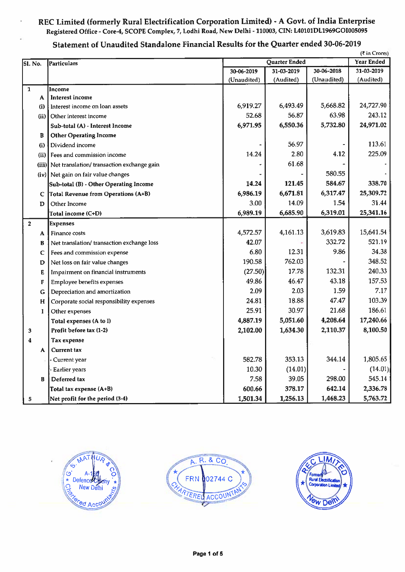| (₹ in Crores)  |                                            |             |               |             |            |
|----------------|--------------------------------------------|-------------|---------------|-------------|------------|
| SI. No.        | <b>Particulars</b>                         |             | Quarter Ended |             | Year Ended |
|                |                                            | 30-06-2019  | 31-03-2019    | 30-06-2018  | 31-03-2019 |
|                |                                            | (Unaudited) | (Audited)     | (Unaudited) | (Audited)  |
| $\mathbf{1}$   | Income                                     |             |               |             |            |
| A              | Interest income                            | 6,919.27    | 6,493.49      | 5,668.82    | 24,727.90  |
| (i)            | Interest income on loan assets             |             | 56.87         | 63.98       | 243.12     |
| (ii)           | Other interest income                      | 52.68       |               |             |            |
|                | Sub-total (A) - Interest Income            | 6,971.95    | 6,550.36      | 5,732.80    | 24,971.02  |
| B              | <b>Other Operating Income</b>              |             |               |             |            |
| (i)            | Dividend income                            |             | 56.97         |             | 113.61     |
| (i)            | Fees and commission income                 | 14.24       | 2.80          | 4.12        | 225.09     |
| (iii)          | Net translation/transaction exchange gain  |             | 61.68         |             |            |
| (iv)           | Net gain on fair value changes             |             |               | 580.55      |            |
|                | Sub-total (B) - Other Operating Income     | 14.24       | 121.45        | 584.67      | 338.70     |
| C              | Total Revenue from Operations (A+B)        | 6,986.19    | 6,671.81      | 6,317.47    | 25,309.72  |
| D              | Other Income                               | 3.00        | 14.09         | 1.54        | 31.44      |
|                | Total income (C+D)                         | 6,989.19    | 6,685.90      | 6,319.01    | 25,341.16  |
| $\overline{2}$ | <b>Expenses</b>                            |             |               |             |            |
| A              | Finance costs                              | 4,572.57    | 4,161.13      | 3,619.83    | 15,641.54  |
| B              | Net translation/ transaction exchange loss | 42.07       |               | 332.72      | 521.19     |
| $\mathbf C$    | Fees and commission expense                | 6.80        | 12.31         | 9.86        | 34.38      |
| D              | Net loss on fair value changes             | 190.58      | 762.03        |             | 348.52     |
| E              | Impairment on financial instruments        | (27.50)     | 17.78         | 132.31      | 240.33     |
| F              | Employee benefits expenses                 | 49.86       | 46.47         | 43.18       | 157.53     |
| G              | Depreciation and amortization              | 2.09        | 2.03          | 1.59        | 7.17       |
| H              | Corporate social responsibility expenses   | 24.81       | 18.88         | 47.47       | 103.39     |
| I              | Other expenses                             | 25.91       | 30.97         | 21.68       | 186.61     |
|                | Total expenses (A to I)                    | 4,887.19    | 5,051.60      | 4,208.64    | 17,240.66  |
| 3              | Profit before tax (1-2)                    | 2,102.00    | 1,634.30      | 2,110.37    | 8,100.50   |
| 4              | Tax expense                                |             |               |             |            |
| A              | Current tax                                |             |               |             |            |
|                | Current year                               | 582.78      | 353.13        | 344.14      | 1,805.65   |
|                | <b>Earlier</b> years                       | 10.30       | (14.01)       |             | (14.01)    |
| B              | Deferred tax                               | 7.58        | 39.05         | 298.00      | 545.14     |
|                | Total tax expense (A+B)                    | 600.66      | 378.17        | 642.14      | 2,336.78   |
| 5              | Net profit for the period (3-4)            | 1,501.34    | 1,256.13      | 1,468.23    | 5,763.72   |
|                |                                            |             |               |             |            |

## Statement of Unaudited Standalone Financial Results for the Quarter ended 30-06-2019





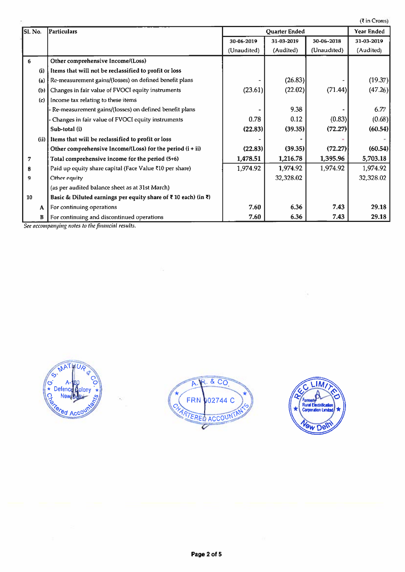(2 in Crores)

| Sl. No.            | Particulars                                                    |             | Quarter Ended |             | Year Ended |
|--------------------|----------------------------------------------------------------|-------------|---------------|-------------|------------|
|                    |                                                                | 30-06-2019  | 31-03-2019    | 30-06-2018  | 31-03-2019 |
|                    |                                                                | (Unaudited) | (Audited)     | (Unaudited) | (Audited)  |
| 6                  | Other comprehensive Income/(Loss)                              |             |               |             |            |
| (i)                | Items that will not be reclassified to profit or loss          |             |               |             |            |
| (a)                | Re-measurement gains/(losses) on defined benefit plans         |             | (26.83)       |             | (19.37)    |
| (b)                | Changes in fair value of FVOCI equity instruments              | (23.61)     | (22.02)       | (71.44)     | (47.26)    |
| $\left( c \right)$ | Income tax relating to these items                             |             |               |             |            |
|                    | Re-measurement gains/(losses) on defined benefit plans         |             | 9.38          |             | 6.77       |
|                    | Changes in fair value of FVOCI equity instruments              | 0.78        | 0.12          | (0.83)      | (0.68)     |
|                    | Sub-total (i)                                                  | (22.83)     | (39.35)       | (72.27)     | (60.54)    |
|                    | (ii) Items that will be reclassified to profit or loss         |             |               |             |            |
|                    | Other comprehensive Income/(Loss) for the period $(i + ii)$    | (22.83)     | (39.35)       | (72.27)     | (60.54)    |
| 7                  | Total comprehensive income for the period (5+6)                | 1,478.51    | 1,216.78      | 1,395.96    | 5,703.18   |
| 8                  | Paid up equity share capital (Face Value ₹10 per share)        | 1,974.92    | 1,974.92      | 1,974.92    | 1,974.92   |
| 9                  | Other equity                                                   |             | 32,328.02     |             | 32,328.02  |
|                    | (as per audited balance sheet as at 31st March)                |             |               |             |            |
| 10                 | Basic & Diluted earnings per equity share of ₹ 10 each) (in ₹) |             |               |             |            |
| $\mathbf{A}$       | For continuing operations                                      | 7.60        | 6.36          | 7.43        | 29.18      |
| В                  | For continuing and discontinued operations                     | 7.60        | 6.36          | 7.43        | 29.18      |

See accompanying notes to the financial results.





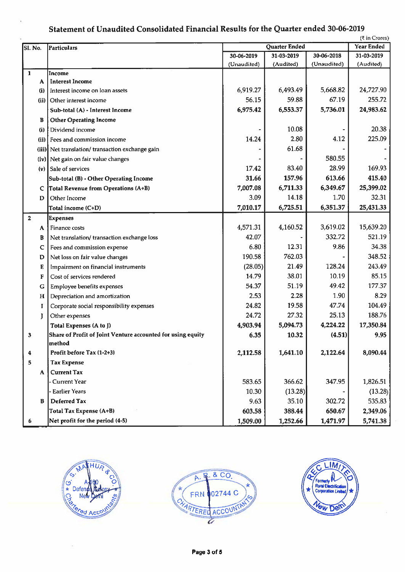# Statement of Unaudited Consolidated Financial Results for the Quarter ended 30-06-2019

|                         |                                                                       |             |               |             | (₹ in Crores)     |
|-------------------------|-----------------------------------------------------------------------|-------------|---------------|-------------|-------------------|
| Sl. No.                 | Particulars                                                           |             | Quarter Ended |             | <b>Year Ended</b> |
|                         |                                                                       | 30-06-2019  | 31-03-2019    | 30-06-2018  | 31-03-2019        |
| $\mathbf{1}$            | Income                                                                | (Unaudited) | (Audited)     | (Unaudited) | (Audited)         |
| A                       | <b>Interest Income</b>                                                |             |               |             |                   |
| (i)                     | Interest income on loan assets                                        | 6,919.27    | 6,493.49      | 5,668.82    | 24,727.90         |
|                         | (ii) Other interest income                                            | 56.15       | 59.88         | 67.19       | 255.72            |
|                         | Sub-total (A) - Interest Income                                       | 6,975.42    | 6,553.37      | 5,736.01    | 24,983.62         |
| B                       | <b>Other Operating Income</b>                                         |             |               |             |                   |
| (i)                     | Dividend income                                                       |             | 10.08         |             | 20.38             |
| (ii)                    | Fees and commission income                                            | 14.24       | 2.80          | 4.12        | 225.09            |
|                         | (iii) Net translation/ transaction exchange gain                      |             | 61.68         |             |                   |
| (iv)                    | Net gain on fair value changes                                        |             |               | 580.55      |                   |
| (v)                     | Sale of services                                                      | 17.42       | 83.40         | 28.99       | 169.93            |
|                         | Sub-total (B) - Other Operating Income                                | 31.66       | 157.96        | 613.66      | 415.40            |
| C                       | <b>Total Revenue from Operations (A+B)</b>                            | 7,007.08    | 6,711.33      | 6,349.67    | 25,399.02         |
| D                       | Other Income                                                          | 3.09        | 14.18         | 1.70        | 32.31             |
|                         | Total income (C+D)                                                    | 7,010.17    | 6,725.51      | 6,351.37    | 25,431.33         |
| $\overline{\mathbf{2}}$ | <b>Expenses</b>                                                       |             |               |             |                   |
| A                       | Finance costs                                                         | 4,571.31    | 4,160.52      | 3,619.02    | 15,639.20         |
| B                       | Net translation/ transaction exchange loss                            | 42.07       |               | 332.72      | 521.19            |
| $\mathbf C$             | Fees and commission expense                                           | 6.80        | 12.31         | 9.86        | 34.38             |
| D                       | Net loss on fair value changes                                        | 190.58      | 762.03        |             | 348.52            |
| E                       | Impairment on financial instruments                                   | (28.05)     | 21.49         | 128.24      | 243.49            |
| F                       | Cost of services rendered                                             | 14.79       | 38.01         | 10.19       | 85.15             |
| G                       | Employee benefits expenses                                            | 54.37       | 51.19         | 49.42       | 177.37            |
| $\mathbf H$             | Depreciation and amortization                                         | 2.53        | 2.28          | 1.90        | 8.29              |
|                         | Corporate social responsibility expenses                              | 24.82       | 19.58         | 47.74       | 104.49            |
| Ť                       | Other expenses                                                        | 24.72       | 27.32         | 25.13       | 188.76            |
|                         | Total Expenses (A to J)                                               | 4,903.94    | 5,094.73      | 4,224.22    | 17,350.84         |
| 3                       | Share of Profit of Joint Venture accounted for using equity<br>method | 6.35        | 10.32         | (4.51)      | 9.95              |
| 4                       | Profit before Tax (1-2+3)                                             | 2,112.58    | 1,641.10      | 2,122.64    | 8,090.44          |
| 5                       | <b>Tax Expense</b>                                                    |             |               |             |                   |
| A                       | <b>Current Tax</b>                                                    |             |               |             |                   |
|                         | Current Year                                                          | 583.65      | 366.62        | 347.95      | 1,826.51          |
|                         | <b>Earlier Years</b>                                                  | 10.30       | (13.28)       |             | (13.28)           |
| B                       | <b>Deferred Tax</b>                                                   | 9.63        | 35.10         | 302.72      | 535.83            |
|                         | <b>Total Tax Expense (A+B)</b>                                        | 603.58      | 388.44        | 650.67      | 2,349.06          |
| 6                       | Net profit for the period (4-5)                                       | 1,509.00    | 1,252.66      | 1,471.97    | 5,741.38          |





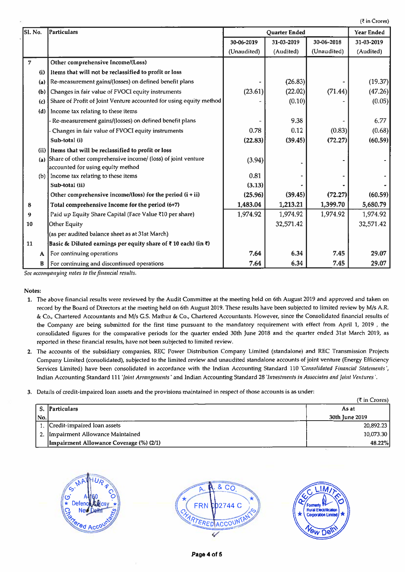$(7 in Crores)$ 

| Sl. No.        | Particulars                                                        | <b>Quarter Ended</b> |            |             | <b>Year Ended</b> |
|----------------|--------------------------------------------------------------------|----------------------|------------|-------------|-------------------|
|                |                                                                    | 30-06-2019           | 31-03-2019 | 30-06-2018  | 31-03-2019        |
|                |                                                                    | (Unaudited)          | (Audited)  | (Unaudited) | (Audited)         |
| $\overline{7}$ | Other comprehensive Income/(Loss)                                  |                      |            |             |                   |
| (i)            | Items that will not be reclassified to profit or loss              |                      |            |             |                   |
| (a)            | Re-measurement gains/(losses) on defined benefit plans             |                      | (26.83)    |             | (19.37)           |
| (b)            | Changes in fair value of FVOCI equity instruments                  | (23.61)              | (22.02)    | (71.44)     | (47.26)           |
| (c)            | Share of Profit of Joint Venture accounted for using equity method |                      | (0.10)     |             | (0.05)            |
| (d)            | Income tax relating to these items                                 |                      |            |             |                   |
|                | Re-measurement gains/(losses) on defined benefit plans             |                      | 9.38       |             | 6.77              |
|                | Changes in fair value of FVOCI equity instruments                  | 0.78                 | 0.12       | (0.83)      | (0.68)            |
|                | Sub-total (i)                                                      | (22.83)              | (39.45)    | (72.27)     | (60.59)           |
|                | (ii) Items that will be reclassified to profit or loss             |                      |            |             |                   |
| (a)            | Share of other comprehensive income/ (loss) of joint venture       | (3.94)               |            |             |                   |
|                | accounted for using equity method                                  |                      |            |             |                   |
| (b)            | Income tax relating to these items                                 | 0.81                 |            |             |                   |
|                | Sub-total (ii)                                                     | (3.13)               |            |             |                   |
|                | Other comprehensive income/(loss) for the period $(i + ii)$        | (25.96)              | (39.45)    | (72.27)     | (60.59)           |
| 8              | Total comprehensive Income for the period (6+7)                    | 1,483.04             | 1,213.21   | 1,399.70    | 5,680.79          |
| 9              | Paid up Equity Share Capital (Face Value ₹10 per share)            | 1,974.92             | 1,974.92   | 1,974.92    | 1,974.92          |
| 10             | Other Equity                                                       |                      | 32,571.42  |             | 32,571.42         |
|                | (as per audited balance sheet as at 31st March)                    |                      |            |             |                   |
| 11             | Basic & Diluted earnings per equity share of ₹10 each) (in ₹)      |                      |            |             |                   |
| A              | For continuing operations                                          | 7.64                 | 6.34       | 7.45        | 29.07             |
| B              | For continuing and discontinued operations                         | 7.64                 | 6.34       | 7.45        | 29.07             |

See accompanying notes to the financial results.

#### Notes:

- 1, The above financial results were reviewed by the Audit Committee at the meeting held on 6th August 2019 and approved and taken on record by the Board of Directors at the meeting held on 6th August 2019. These results have been subjected to limited review by M/s A.R. & Co., Chartered Accountants and M/s G.S. Mathur & Co., Chartered Accountants. However, since the Consolidated financial results of the Company are being submitted for the first time pursuant to the mandatory requirement with effect from April 1, 2019 , the consolidated figures for the comparative periods for the quarter ended 30th June 2018 and the quarter ended 31st March 2019, as reported in these financial results, have not been subjected to limited review.
- 2. The accounts of the subsidiary companies, REC Power Distribution Company Limited (standalone) and REC Transmission Projects Company Limited (consolidated), subjected to the limited review and unaudited standalone accounts of joint venture (Energy Efficiency Services Limited) have been consolidated in accordance with the Indian Accounting Standard 110 'Consolidated Financial Statements', Indian Accounting Standard 111 'Joint Arrangements' and Indian Accounting Standard 28 'investments in Associates and Joint Ventures '.
- 3. Details of credit-impaired loan assets and the provisions maintained in respect of those accounts is as under:

|     | $(3 \in \text{C} \text{cores})$         |                |  |
|-----|-----------------------------------------|----------------|--|
|     | S. Particulars                          | As at          |  |
| No. |                                         | 30th June 2019 |  |
|     | 1. Credit-impaired loan assets          | 20,892.23      |  |
|     | 2. Impairment Allowance Maintained      | 10.073.30      |  |
|     | Impairment Allowance Coverage (%) (2/1) | 48.22%         |  |





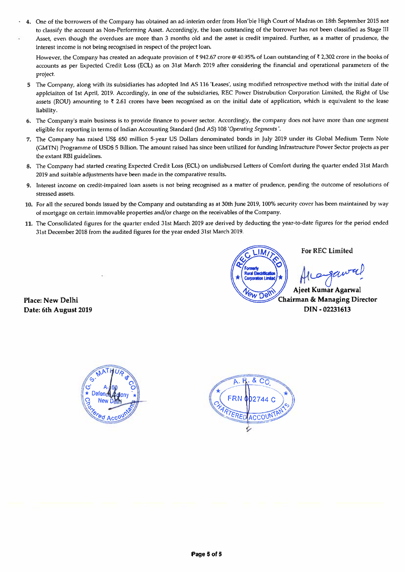- 4. One of the borrowers of the Company has obtained an ad-interim order from Hon'ble High Court of Madras on 18th September 2015 not to classify the account as Non-Performing Asset. Accordingly, the loan outstanding of the borrower has not been classified as Stage III
- Asset, even though the overdues are more than 3 months old and the asset is credit impaired. Further, as a matter of prudence, the interest income is not being recognised in respect of the project loan.

However, the Company has created an adequate provision of  $\bar{\tau}$  942.67 crore @ 40.95% of Loan outstanding of  $\bar{\tau}$  2,302 crore in the books of accounts as per Expected Credit Loss (ECL) as on 31st March 2019 after considering the financial and operational parameters of the project.

- 5 The Company, along with its subsidiaries has adopted Ind AS 116 'Leases', using modified retrospective method with the initial date of applciaiton of Ist April, 2019. Accordingly, in one of the subsidiaries, REC Power Distrubution Corporation Limited, the Right of Use assets (ROU) amounting to  $\bar{\tau}$  2.61 crores have been recognised as on the initial date of application, which is equivalent to the lease liability.
- The Company's main business is to provide finance to power sector. Accordingly, the company does not have more than one segment eligible for reporting in terms of Indian Accounting Standard {Ind AS) 108 'Operating Segments'.
- The Company has raised US\$ 650 million 5-year US Dollars denominated bonds in July 2019 under its Global Medium Term Note (GMTN) Programme of USD\$ 5 Billion. The amount raised has since been utilized for funding Infrastructure Power Sector projects as per the extant RBI guidelines.
- The Companyhadstarted creating Expected Credit Loss (ECL) on undisbursed Letters of Comfort during the quarter ended 31st March 2019 and suitable adjustments have been made in the comparative results.
- 9. Interest income on credit-impaired loan assets is not being recognised as a matter of prudence, pending the outcome of resolutions of stressed assets.
- 10. Forall the secured bonds issued by the Company and outstandingas at 30th June 2019, 100% security cover has been maintained by way of mortgage on certain immovable properties and/or charge on the receivables of the Company.
- 11. The Consolidated figures for the quarter ended 31st March 2019 are derived by deducting the year-to-date figures for the period ended 31st December 2018 from the audited figures for the year ended 31st March 2019.

Place: New Delhi



For REC Limited

 $A_{\ell}$  and  $A_{\ell}$ 

Date: 6th August 2019 DIN - 02231613



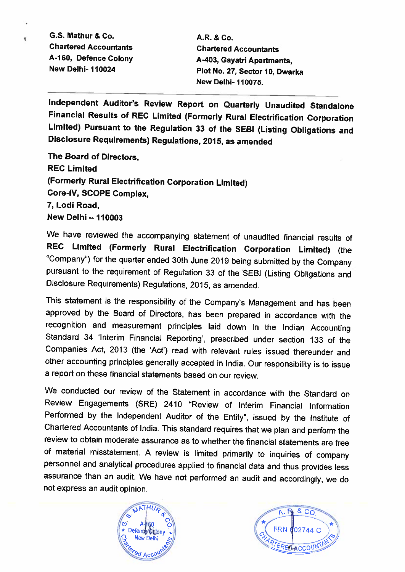G.S. Mathur & Co. A.R. & Co.

ŧ

Chartered Accountants Chartered Accountants A-160, Defence Colony<br>New Delhi-110024 **A-403, Gayatri Apartments,** Plot No. 27, Sector 10, Dwarka New Delhi- 110075.

 Independent Auditor's Review Report on Quarterly Unaudited Standalone Financial Results of REC Limited (Formerly Rural Electrification Corporation Limited) Pursuant to the Regulation <sup>33</sup> of the SEBI (Listing Obligations and Disclosure Requirements) Regulations, 2015, as amended

<u> 1989 - Johann Stoff, Amerikaansk politiker (\* 1989)</u>

The Board of Directors, REC Limited (Formerly Rural Electrification Corporation Limited) Core-iV, SCOPE Complex, 7, Lodi Road, New Delhi — 110003

We have reviewed the accompanying statement of unaudited financial results of REC Limited (Formerly Rural Electrification Corporation Limited) (the "Company") for the quarter ended 30th June 2019 being submitted by the Company pursuant to the requirement of Regulation <sup>33</sup> of the SEBI (Listing Obligations and Disclosure Requirements) Regulations, 2015, as amended.

This statement is the responsibility of the Company's Management and has been approved by the Board of Directors, has been prepared in accordance with the recognition and measurement principles laid down in the Indian Accounting Standard <sup>34</sup> 'Interim Financial Reporting', prescribed under section <sup>133</sup> of the Companies Act, <sup>2013</sup> (the 'Act') read with relevant rules issued thereunder and other accounting principles generally accepted in India. Our responsibility is to issue a report on these financial statements based on our review.

We conducted our review of the Statement in accordance with the Standard on Review Engagements (SRE) <sup>2410</sup> "Review of Interim Financial Information Performed by the Independent Auditor of the Entity", issued by the Institute of Chartered Accountants of India. This standard requires that we plan and perform the review to obtain moderate assurance as to whether the financial statements are free of material misstatement. <sup>A</sup> review is limited primarily to inquiries of company personnel and analytical procedures applied to financial data and thus provides less assurance than an audit. We have not performed an audit and accordingly, we do not express an audit opinion.



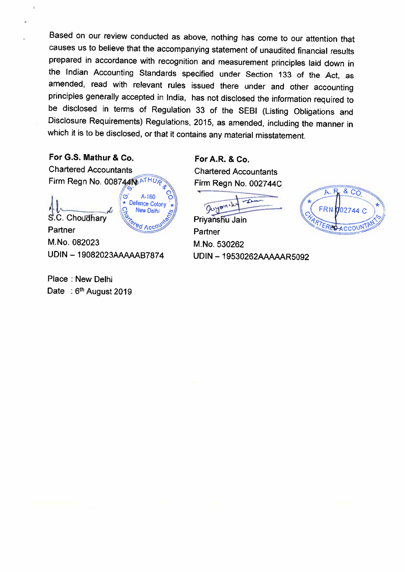Based on our review conducted as above, nothing has come to our attention that causes us to believe that the accompanying statement of unaudited financial results prepared in accordance with recognition and measurement principles laid down in the Indian Accounting Standards specified under Section <sup>133</sup> of the Act, as amended, read with relevant rules issued there under and other accounting principles generally accepted in India, has not disclosed the information required to be disclosed in terms of Regulation <sup>33</sup> of the SEBI (Listing Obligations and Disclosure Requirements) Regulations, 2015, as amended, including the manner in which it is to be disclosed, or that it contains any material misstatement.

### For G.S. Mathur & Co. For A.R. & Co.

Chartered Accountants Chartered Accountants Firm Regn No. 008744 $\mathbb{N}$ <sup>ATHU</sup>R<sub>2</sub> Firm Regn No. 002744C



M.No. 082023 M.No. 530262 UDIN - 19082023AAAAAB7874 UDIN — 19530262AAAAAR5092

Place : New Delhi Date :  $6<sup>th</sup>$  August 2019

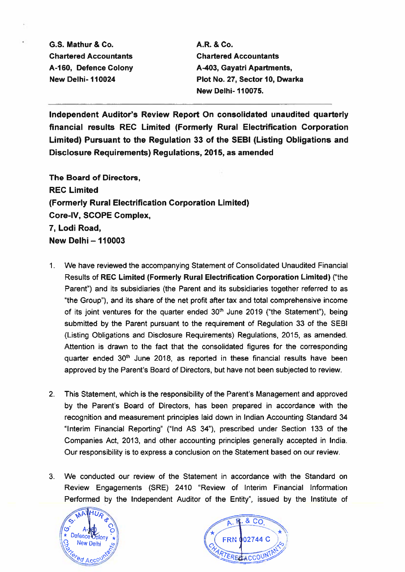G.S. Mathur & Co. A.R. & Co. Chartered Accountants Chartered Accountants

A-160, Defence Colony A-403, Gayatri Apartments, New Delhi- 110024 Plot No. 27, Sector 10, Dwarka New Delhi- 110075.

Independent Auditor's Review Report On consolidated unaudited quarterly financial results REC Limited (Formerly Rural Electrification Corporation Limited) Pursuant to the Regulation 33 of the SEBI (Listing Obligations and Disclosure Requirements) Regulations, 2015, as amended

The Board of Directors, REC Limited (Formerly Rural Electrification Corporation Limited) Core-IV, SCOPE Complex, 7, Lodi Road, New Delhi — 110003

- 1. We have reviewed the accompanying Statement of Consolidated Unaudited Financial Results of REC Limited (Formerly Rural Electrification Corporation Limited) ("the Parent") and its subsidiaries (the Parent and its subsidiaries together referred to as "the Group'), and its share of the net profit after tax and total comprehensive income of its joint ventures for the quarter ended 30" June 2019 ("the Statement"), being submitted by the Parent pursuant to the requirement of Regulation 33 of the SEBI (Listing Obligations and Disclosure Requirements) Regulations, 2015, as amended. Attention is drawn to the fact that the consolidated figures for the corresponding quarter ended 30" June 2018, as reported in these financial results have been approved by the Parent's Board of Directors, but have not been subjected to review.
- 2. This Statement, which is the responsibility of the Parent's Management and approved by the Parent's Board of Directors, has been prepared in accordance with the recognition and measurement principles laid down in Indian Accounting Standard 34 "Interim Financial Reporting" ("Ind AS 34"), prescribed under Section 133 of the Companies Act, 2013, and other accounting principles generally accepted in India. Our responsibility is to express a conclusion on the Statement based on our review.
- 3. We conducted our review of the Statement in accordance with the Standard on Review Engagements (SRE) 2410 "Review of Interim Financial Information Performed by the Independent Auditor of the Entity', issued by the Institute of



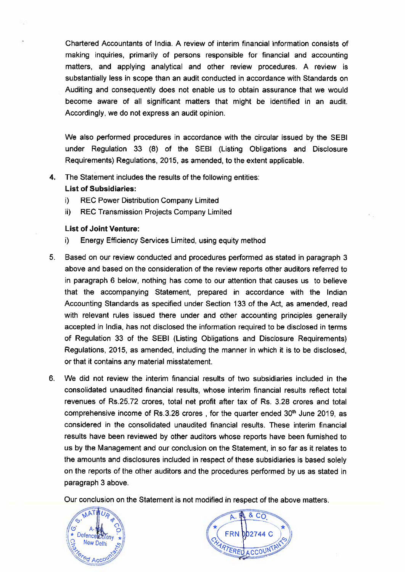Chartered Accountants of India. A review of interim financial information consists of making inquiries, primarily of persons responsible for financial and accounting matters, and applying analytical and other review procedures. A review is substantially less in scope than an audit conducted in accordance with Standards on Auditing and consequently does not enable us to obtain assurance that we would become aware of all significant matters that might be identified in an audit. Accordingly, we do not express an audit opinion.

We also performed procedures in accordance with the circular issued by the SEBI under Regulation 33 (8) of the SEBI (Listing Obligations and Disclosure Requirements) Regulations, 2015, as amended, to the extent applicable.

4. The Statement includes the results of the following entities:

#### List of Subsidiaries:

- i) REC Power Distribution Company Limited
- ii) REC Transmission Projects Company Limited

#### List of Joint Venture:

- i) Energy Efficiency Services Limited, using equity method
- $5.$ Based on our review conducted and procedures performed as stated in paragraph 3 above and based on the consideration of the review reports other auditors referred to in paragraph 6 below, nothing has come to our attention that causes us to believe that the accompanying Statement, prepared in accordance with the Indian Accounting Standards as specified under Section 133 of the Act, as amended, read with relevant rules issued there under and other accounting principles generally accepted in India, has not disclosed the information required to be disclosed in terms of Regulation 33 of the SEBI (Listing Obligations and Disclosure Requirements) Regulations, 2015, as amended, including the manner in which it is to be disclosed, or that it contains any material misstatement.
- $6.$ We did not review the interim financial results of two subsidiaries included in the consolidated unaudited financial results, whose interim financial results reflect total revenues of Rs.25.72 crores, total net profit after tax of Rs. 3.28 crores and total comprehensive income of Rs.3.28 crores , for the quarter ended  $30<sup>th</sup>$  June 2019, as considered in the consolidated unaudited financial results. These interim financial results have been reviewed by other auditors whose reports have been furnished to us by the Management and our conclusion on the Statement, in so far as it relates to the amounts and disclosures included in respect of these subsidiaries is based solely on the reports of the other auditors and the procedures performed by us as stated in paragraph 3 above.

Our conclusion on the Statement is not modified in respect of the above matters.



or A-MAT (A)<br>
S. MAT (A)<br>
Correction on the Statement is not modified in respect of the abelief of the abelief of the statement is not modified in respect of the abelief of A. The B. Co. They bell in the Membership of Memb